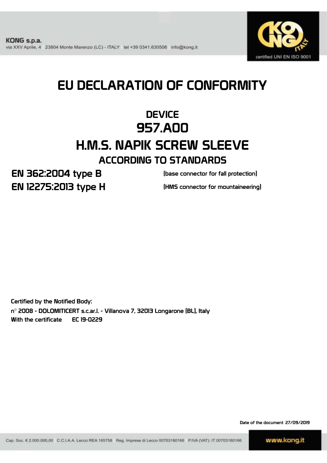

# EU DECLARATION OF CONFORMITY

# **DEVICE** 957.A00 H.M.S. NAPIK SCREW SLEEVE ACCORDING TO STANDARDS

EN 362:2004 type B EN 12275:2013 type H

(base connector for fall protection)

(HMS connector for mountaineering)

Certified by the Notified Body: n° 2008 - DOLOMITICERT s.c.ar.l. - Villanova 7, 32013 Longarone (BL), Italy With the certificate EC 19-0229

Date of the document 27/09/2019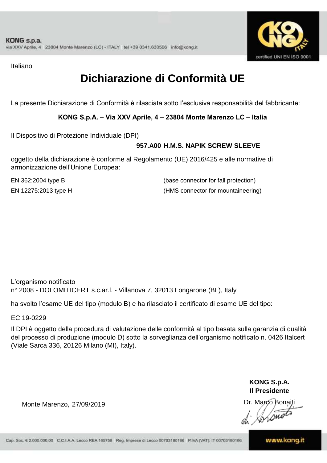

Italiano

# **Dichiarazione di Conformità UE**

La presente Dichiarazione di Conformità è rilasciata sotto l'esclusiva responsabilità del fabbricante:

**KONG S.p.A. – Via XXV Aprile, 4 – 23804 Monte Marenzo LC – Italia**

Il Dispositivo di Protezione Individuale (DPI)

### **957.A00 H.M.S. NAPIK SCREW SLEEVE**

oggetto della dichiarazione è conforme al Regolamento (UE) 2016/425 e alle normative di armonizzazione dell'Unione Europea:

EN 362:2004 type B

(base connector for fall protection) EN 12275:2013 type H (HMS connector for mountaineering)

L'organismo notificato n° 2008 - DOLOMITICERT s.c.ar.l. - Villanova 7, 32013 Longarone (BL), Italy

ha svolto l'esame UE del tipo (modulo B) e ha rilasciato il certificato di esame UE del tipo:

EC 19-0229

Il DPI è oggetto della procedura di valutazione delle conformità al tipo basata sulla garanzia di qualità del processo di produzione (modulo D) sotto la sorveglianza dell'organismo notificato n. 0426 Italcert (Viale Sarca 336, 20126 Milano (MI), Italy).

> **KONG S.p.A. Il Presidente**

Inons

Monte Marenzo, 27/09/2019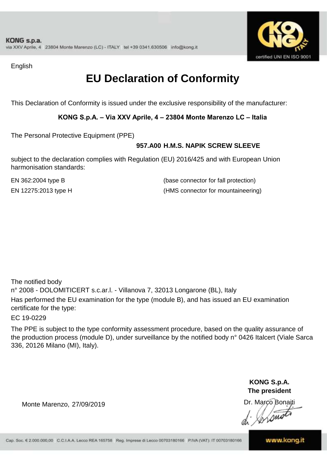

English

# **EU Declaration of Conformity**

This Declaration of Conformity is issued under the exclusive responsibility of the manufacturer:

**KONG S.p.A. – Via XXV Aprile, 4 – 23804 Monte Marenzo LC – Italia**

The Personal Protective Equipment (PPE)

### **957.A00 H.M.S. NAPIK SCREW SLEEVE**

subject to the declaration complies with Regulation (EU) 2016/425 and with European Union harmonisation standards:

EN 12275:2013 type H (HMS connector for mountaineering) EN 362:2004 type B (base connector for fall protection)

The notified body n° 2008 - DOLOMITICERT s.c.ar.l. - Villanova 7, 32013 Longarone (BL), Italy Has performed the EU examination for the type (module B), and has issued an EU examination certificate for the type:

EC 19-0229

The PPE is subject to the type conformity assessment procedure, based on the quality assurance of the production process (module D), under surveillance by the notified body n° 0426 Italcert (Viale Sarca 336, 20126 Milano (MI), Italy).

> **KONG S.p.A. The president**

Dr. Marco Bonaiti

Lom

Monte Marenzo, 27/09/2019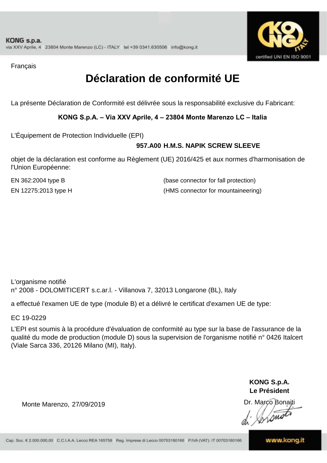

Français

# **Déclaration de conformité UE**

La présente Déclaration de Conformité est délivrée sous la responsabilité exclusive du Fabricant:

**KONG S.p.A. – Via XXV Aprile, 4 – 23804 Monte Marenzo LC – Italia**

L'Équipement de Protection Individuelle (EPI)

### **957.A00 H.M.S. NAPIK SCREW SLEEVE**

objet de la déclaration est conforme au Règlement (UE) 2016/425 et aux normes d'harmonisation de l'Union Européenne:

EN 12275:2013 type H (HMS connector for mountaineering) EN 362:2004 type B (base connector for fall protection)

L'organisme notifié n° 2008 - DOLOMITICERT s.c.ar.l. - Villanova 7, 32013 Longarone (BL), Italy

a effectué l'examen UE de type (module B) et a délivré le certificat d'examen UE de type:

EC 19-0229

L'EPI est soumis à la procédure d'évaluation de conformité au type sur la base de l'assurance de la qualité du mode de production (module D) sous la supervision de l'organisme notifié n° 0426 Italcert (Viale Sarca 336, 20126 Milano (MI), Italy).

> **KONG S.p.A. Le Président**

Dr. Marco Bonaiti

Monte Marenzo, 27/09/2019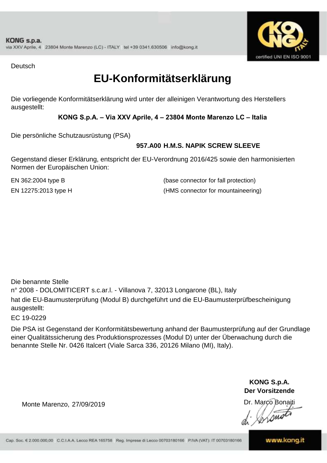

**Deutsch** 

### **EU-Konformitätserklärung**

Die vorliegende Konformitätserklärung wird unter der alleinigen Verantwortung des Herstellers ausgestellt:

**KONG S.p.A. – Via XXV Aprile, 4 – 23804 Monte Marenzo LC – Italia**

Die persönliche Schutzausrüstung (PSA)

### **957.A00 H.M.S. NAPIK SCREW SLEEVE**

Gegenstand dieser Erklärung, entspricht der EU-Verordnung 2016/425 sowie den harmonisierten Normen der Europäischen Union:

EN 12275:2013 type H (HMS connector for mountaineering) EN 362:2004 type B (base connector for fall protection)

n° 2008 - DOLOMITICERT s.c.ar.l. - Villanova 7, 32013 Longarone (BL), Italy hat die EU-Baumusterprüfung (Modul B) durchgeführt und die EU-Baumusterprüfbescheinigung ausgestellt: Die benannte Stelle

EC 19-0229

Die PSA ist Gegenstand der Konformitätsbewertung anhand der Baumusterprüfung auf der Grundlage einer Qualitätssicherung des Produktionsprozesses (Modul D) unter der Überwachung durch die benannte Stelle Nr. 0426 Italcert (Viale Sarca 336, 20126 Milano (MI), Italy).

> **KONG S.p.A. Der Vorsitzende**

Dr. Marco Bonaiti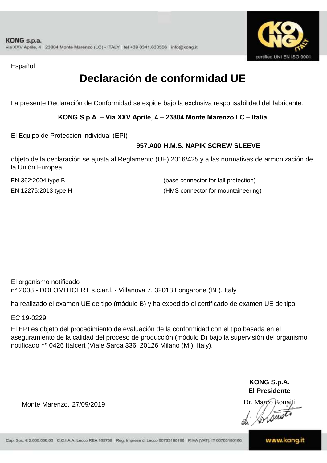

Español

# **Declaración de conformidad UE**

La presente Declaración de Conformidad se expide bajo la exclusiva responsabilidad del fabricante:

**KONG S.p.A. – Via XXV Aprile, 4 – 23804 Monte Marenzo LC – Italia**

El Equipo de Protección individual (EPI)

### **957.A00 H.M.S. NAPIK SCREW SLEEVE**

objeto de la declaración se ajusta al Reglamento (UE) 2016/425 y a las normativas de armonización de la Unión Europea:

EN 362:2004 type B

(base connector for fall protection) EN 12275:2013 type H (HMS connector for mountaineering)

El organismo notificado n° 2008 - DOLOMITICERT s.c.ar.l. - Villanova 7, 32013 Longarone (BL), Italy

ha realizado el examen UE de tipo (módulo B) y ha expedido el certificado de examen UE de tipo:

EC 19-0229

El EPI es objeto del procedimiento de evaluación de la conformidad con el tipo basada en el aseguramiento de la calidad del proceso de producción (módulo D) bajo la supervisión del organismo notificado nº 0426 Italcert (Viale Sarca 336, 20126 Milano (MI), Italy).

> **KONG S.p.A. El Presidente**

Dr. Marco Bonaiti

Monte Marenzo, 27/09/2019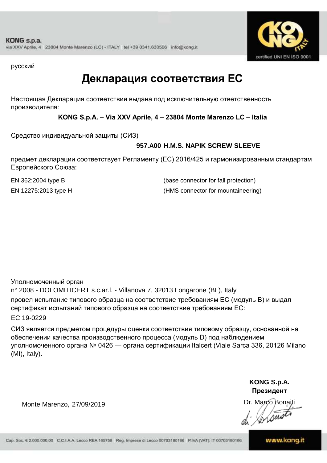

русский

### **Декларация соответствия ЕС**

Настоящая Декларация соответствия выдана под исключительную ответственность производителя:

**KONG S.p.A. – Via XXV Aprile, 4 – 23804 Monte Marenzo LC – Italia**

Средство индивидуальной защиты (СИЗ)

### **957.A00 H.M.S. NAPIK SCREW SLEEVE**

предмет декларации соответствует Регламенту (ЕС) 2016/425 и гармонизированным стандартам Европейского Союза:

EN 362:2004 type B (base connector for fall protection) EN 12275:2013 type H (HMS connector for mountaineering)

Уполномоченный орган n° 2008 - DOLOMITICERT s.c.ar.l. - Villanova 7, 32013 Longarone (BL), Italy провел испытание типового образца на соответствие требованиям ЕС (модуль B) и выдал сертификат испытаний типового образца на соответствие требованиям ЕС: EC 19-0229

СИЗ является предметом процедуры оценки соответствия типовому образцу, основанной на обеспечении качества производственного процесса (модуль D) под наблюдением уполномоченного органа № 0426 — органа сертификации Italcert (Viale Sarca 336, 20126 Milano (MI), Italy).

> **KONG S.p.A. Президент**

Dr. Marco Bonaiti Instru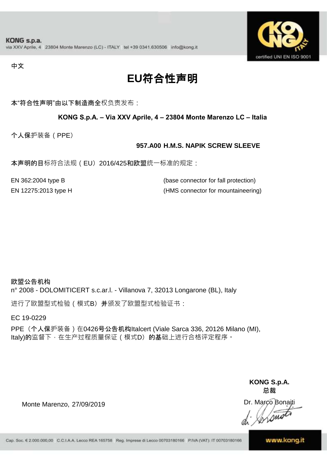

中文

# **EU**符合性声明

本"符合性声明"由以下制造商全权负责发布:

#### **KONG S.p.A. – Via XXV Aprile, 4 – 23804 Monte Marenzo LC – Italia**

个人保护装备(PPE)

#### **957.A00 H.M.S. NAPIK SCREW SLEEVE**

本声明的目标符合法规 ( EU) 2016/425和欧盟统一标准的规定:

| EN 362:2004 type B   | (base connector for fall protection) |
|----------------------|--------------------------------------|
| EN 12275:2013 type H | (HMS connector for mountaineering)   |

欧盟公告机构 n° 2008 - DOLOMITICERT s.c.ar.l. - Villanova 7, 32013 Longarone (BL), Italy

进行了欧盟型式检验(模式B)并颁发了欧盟型式检验证书:

EC 19-0229

PPE (个人保护装备) 在0426号公告机构Italcert (Viale Sarca 336, 20126 Milano (MI), Italy)的监督下, 在生产过程质量保证 ( 模式D) 的基础上进行合格评定程序。

> **KONG S.p.A. 总裁**

Dr. Marco Bonaiti Lone

Monte Marenzo, 27/09/2019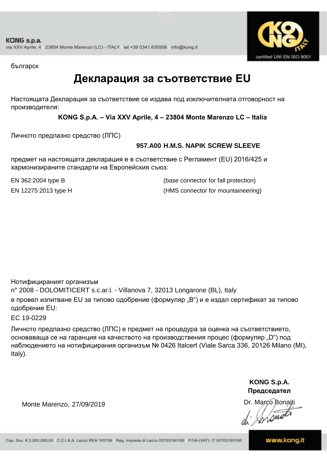

българск

### **Декларация за съответствие EU**

Настоящата Декларация за съответствие се издава под изключителната отговорност на производителя:

**KONG S.p.A. – Via XXV Aprile, 4 – 23804 Monte Marenzo LC – Italia**

Личното предпазно средство (ЛПС)

### **957.A00 H.M.S. NAPIK SCREW SLEEVE**

предмет на настоящата декларация е в съответствие с Регламент (ЕU) 2016/425 и хармонизираните стандарти на Европейския съюз:

EN 362:2004 type B (base connector for fall protection) EN 12275:2013 type H (HMS connector for mountaineering)

Нотифицираният организъм n° 2008 - DOLOMITICERT s.c.ar.l. - Villanova 7, 32013 Longarone (BL), Italy е провел изпитване EU за типово одобрение (формуляр "B") и е издал сертификат за типово одобрение ЕU:

EC 19-0229

Личното предпазно средство (ЛПС) е предмет на процедура за оценка на съответствието, основаваща се на гаранция на качеството на производствения процес (формуляр "D") под наблюдението на нотифицирания организъм № 0426 Italcert (Viale Sarca 336, 20126 Milano (MI), Italy).

> **KONG S.p.A. Председател**

Dr. Marco Bonaiti

from

Monte Marenzo, 27/09/2019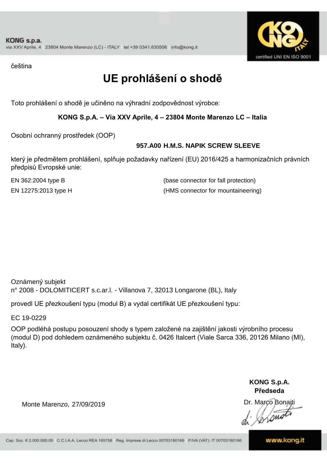

čeština

# **UE prohlášení o shodě**

Toto prohlášení o shodě je učiněno na výhradní zodpovědnost výrobce:

**KONG S.p.A. – Via XXV Aprile, 4 – 23804 Monte Marenzo LC – Italia**

Osobní ochranný prostředek (OOP)

### **957.A00 H.M.S. NAPIK SCREW SLEEVE**

který je předmětem prohlášení, splňuje požadavky nařízení (EU) 2016/425 a harmonizačních právních předpisů Evropské unie:

EN 12275:2013 type H (HMS connector for mountaineering) EN 362:2004 type B (base connector for fall protection)

Oznámený subjekt n° 2008 - DOLOMITICERT s.c.ar.l. - Villanova 7, 32013 Longarone (BL), Italy

provedl UE přezkoušení typu (modul B) a vydal certifikát UE přezkoušení typu:

EC 19-0229

OOP podléhá postupu posouzení shody s typem založené na zajištění jakosti výrobního procesu (modul D) pod dohledem oznámeného subjektu č. 0426 Italcert (Viale Sarca 336, 20126 Milano (MI), Italy).

> **KONG S.p.A. Předseda**

Dr. Marco Bonaiti

Monte Marenzo, 27/09/2019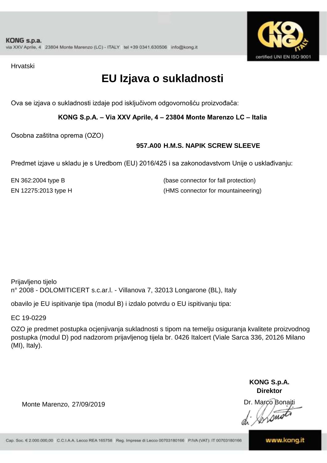

Hrvatski

# **EU Izjava o sukladnosti**

Ova se izjava o sukladnosti izdaje pod isključivom odgovornošću proizvođača:

**KONG S.p.A. – Via XXV Aprile, 4 – 23804 Monte Marenzo LC – Italia**

Osobna zaštitna oprema (OZO)

### **957.A00 H.M.S. NAPIK SCREW SLEEVE**

Predmet izjave u skladu je s Uredbom (EU) 2016/425 i sa zakonodavstvom Unije o usklađivanju:

EN 362:2004 type B (base connector for fall protection) EN 12275:2013 type H (HMS connector for mountaineering)

Prijavljeno tijelo n° 2008 - DOLOMITICERT s.c.ar.l. - Villanova 7, 32013 Longarone (BL), Italy

obavilo je EU ispitivanje tipa (modul B) i izdalo potvrdu o EU ispitivanju tipa:

EC 19-0229

OZO je predmet postupka ocjenjivanja sukladnosti s tipom na temelju osiguranja kvalitete proizvodnog postupka (modul D) pod nadzorom prijavljenog tijela br. 0426 Italcert (Viale Sarca 336, 20126 Milano (MI), Italy).

> **KONG S.p.A. Direktor**

Dr. Marco Bonaiti  $\sqrt{2m}$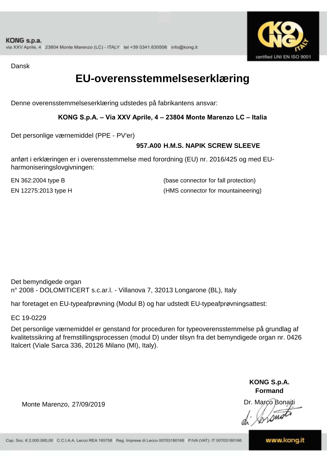

Dansk

### **EU-overensstemmelseserklæring**

Denne overensstemmelseserklæring udstedes på fabrikantens ansvar:

**KONG S.p.A. – Via XXV Aprile, 4 – 23804 Monte Marenzo LC – Italia**

Det personlige værnemiddel (PPE - PV'er)

### **957.A00 H.M.S. NAPIK SCREW SLEEVE**

anført i erklæringen er i overensstemmelse med forordning (EU) nr. 2016/425 og med EUharmoniseringslovgivningen:

EN 12275:2013 type H (HMS connector for mountaineering) EN 362:2004 type B (base connector for fall protection)

Det bemyndigede organ n° 2008 - DOLOMITICERT s.c.ar.l. - Villanova 7, 32013 Longarone (BL), Italy

har foretaget en EU-typeafprøvning (Modul B) og har udstedt EU-typeafprøvningsattest:

EC 19-0229

Det personlige værnemiddel er genstand for proceduren for typeoverensstemmelse på grundlag af kvalitetssikring af fremstillingsprocessen (modul D) under tilsyn fra det bemyndigede organ nr. 0426 Italcert (Viale Sarca 336, 20126 Milano (MI), Italy).

> **KONG S.p.A. Formand**

Dr. Marco Bonaiti

Monte Marenzo, 27/09/2019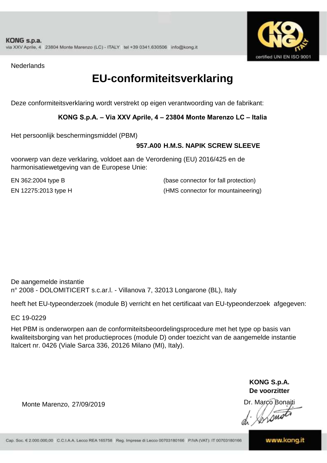

**Nederlands** 

### **EU-conformiteitsverklaring**

Deze conformiteitsverklaring wordt verstrekt op eigen verantwoording van de fabrikant:

### **KONG S.p.A. – Via XXV Aprile, 4 – 23804 Monte Marenzo LC – Italia**

Het persoonlijk beschermingsmiddel (PBM)

### **957.A00 H.M.S. NAPIK SCREW SLEEVE**

voorwerp van deze verklaring, voldoet aan de Verordening (EU) 2016/425 en de harmonisatiewetgeving van de Europese Unie:

EN 362:2004 type B (base connector for fall protection) EN 12275:2013 type H (HMS connector for mountaineering)

De aangemelde instantie n° 2008 - DOLOMITICERT s.c.ar.l. - Villanova 7, 32013 Longarone (BL), Italy

heeft het EU-typeonderzoek (module B) verricht en het certificaat van EU-typeonderzoek afgegeven:

EC 19-0229

Het PBM is onderworpen aan de conformiteitsbeoordelingsprocedure met het type op basis van kwaliteitsborging van het productieproces (module D) onder toezicht van de aangemelde instantie Italcert nr. 0426 (Viale Sarca 336, 20126 Milano (MI), Italy).

> **KONG S.p.A. De voorzitter**

Dr. Marco Bonaiti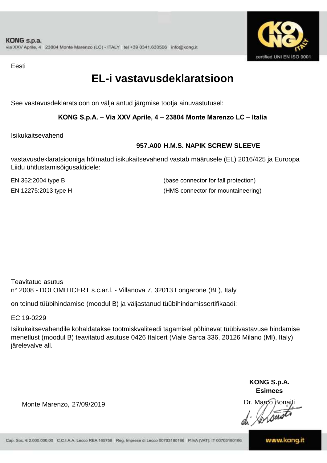

Eesti

### **EL-i vastavusdeklaratsioon**

See vastavusdeklaratsioon on välja antud järgmise tootja ainuvastutusel:

**KONG S.p.A. – Via XXV Aprile, 4 – 23804 Monte Marenzo LC – Italia**

Isikukaitsevahend

### **957.A00 H.M.S. NAPIK SCREW SLEEVE**

vastavusdeklaratsiooniga hõlmatud isikukaitsevahend vastab määrusele (EL) 2016/425 ja Euroopa Liidu ühtlustamisõigusaktidele:

EN 12275:2013 type H (HMS connector for mountaineering) EN 362:2004 type B (base connector for fall protection)

Teavitatud asutus n° 2008 - DOLOMITICERT s.c.ar.l. - Villanova 7, 32013 Longarone (BL), Italy

on teinud tüübihindamise (moodul B) ja väljastanud tüübihindamissertifikaadi:

EC 19-0229

Isikukaitsevahendile kohaldatakse tootmiskvaliteedi tagamisel põhinevat tüübivastavuse hindamise menetlust (moodul B) teavitatud asutuse 0426 Italcert (Viale Sarca 336, 20126 Milano (MI), Italy) järelevalve all.

> **KONG S.p.A. Esimees**

Dr. Marco Bonaiti

Monte Marenzo, 27/09/2019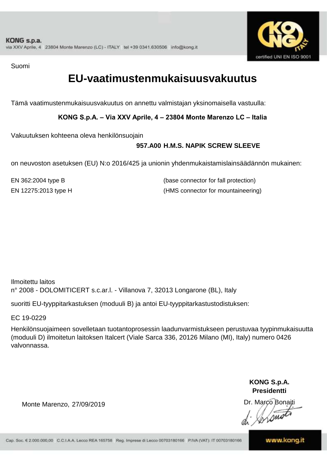

Suomi

### **EU-vaatimustenmukaisuusvakuutus**

Tämä vaatimustenmukaisuusvakuutus on annettu valmistajan yksinomaisella vastuulla:

**KONG S.p.A. – Via XXV Aprile, 4 – 23804 Monte Marenzo LC – Italia**

Vakuutuksen kohteena oleva henkilönsuojain

### **957.A00 H.M.S. NAPIK SCREW SLEEVE**

on neuvoston asetuksen (EU) N:o 2016/425 ja unionin yhdenmukaistamislainsäädännön mukainen:

EN 362:2004 type B (base connector for fall protection) EN 12275:2013 type H (HMS connector for mountaineering)

Ilmoitettu laitos n° 2008 - DOLOMITICERT s.c.ar.l. - Villanova 7, 32013 Longarone (BL), Italy

suoritti EU-tyyppitarkastuksen (moduuli B) ja antoi EU-tyyppitarkastustodistuksen:

EC 19-0229

Henkilönsuojaimeen sovelletaan tuotantoprosessin laadunvarmistukseen perustuvaa tyypinmukaisuutta (moduuli D) ilmoitetun laitoksen Italcert (Viale Sarca 336, 20126 Milano (MI), Italy) numero 0426 valvonnassa.

> **KONG S.p.A. Presidentti**

Dr. Marco Bonaiti

Monte Marenzo, 27/09/2019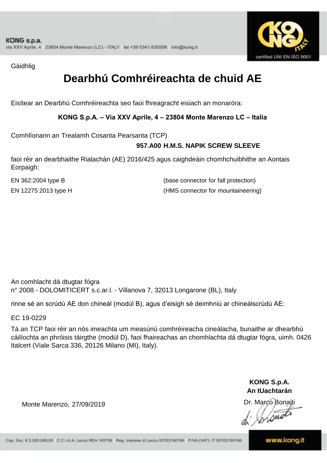

Gàidhlig

# **Dearbhú Comhréireachta de chuid AE**

Eisítear an Dearbhú Comhréireachta seo faoi fhreagracht eisiach an monaróra:

**KONG S.p.A. – Via XXV Aprile, 4 – 23804 Monte Marenzo LC – Italia**

Comhlíonann an Trealamh Cosanta Pearsanta (TCP)

### **957.A00 H.M.S. NAPIK SCREW SLEEVE**

faoi réir an dearbhaithe Rialachán (AE) 2016/425 agus caighdeáin chomhchuibhithe an Aontais Eorpaigh:

EN 12275:2013 type H (HMS connector for mountaineering) EN 362:2004 type B (base connector for fall protection)

An comhlacht dá dtugtar fógra n° 2008 - DOLOMITICERT s.c.ar.l. - Villanova 7, 32013 Longarone (BL), Italy

rinne sé an scrúdú AE don chineál (modúl B), agus d'eisigh sé deimhniú ar chineálscrúdú AE:

EC 19-0229

Tá an TCP faoi réir an nós imeachta um measúnú comhréireacha cineálacha, bunaithe ar dhearbhú cáilíochta an phróisis táirgthe (modúl D), faoi fhaireachas an chomhlachta dá dtugtar fógra, uimh. 0426 Italcert (Viale Sarca 336, 20126 Milano (MI), Italy).

> **KONG S.p.A. An tUachtarán**

Dr. Marco Bonaiti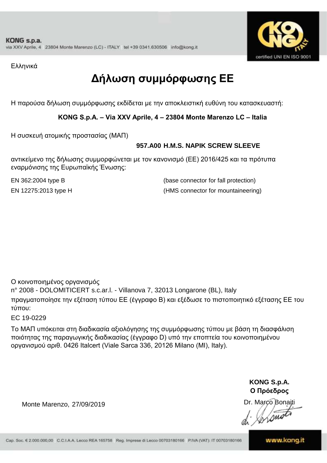

Ελληνικά

# **Δήλωση συμμόρφωσης ΕE**

Η παρούσα δήλωση συμμόρφωσης εκδίδεται με την αποκλειστική ευθύνη του κατασκευαστή:

**KONG S.p.A. – Via XXV Aprile, 4 – 23804 Monte Marenzo LC – Italia**

Η συσκευή ατομικής προστασίας (ΜΑΠ)

### **957.A00 H.M.S. NAPIK SCREW SLEEVE**

αντικείμενο της δήλωσης συμμορφώνεται με τον κανονισμό (ΕΕ) 2016/425 και τα πρότυπα εναρμόνισης της Ευρωπαϊκής Ένωσης:

EN 362:2004 type B (base connector for fall protection) EN 12275:2013 type H (HMS connector for mountaineering)

Ο κοινοποιημένος οργανισμός

n° 2008 - DOLOMITICERT s.c.ar.l. - Villanova 7, 32013 Longarone (BL), Italy

πραγματοποίησε την εξέταση τύπου ΕΕ (έγγραφο Β) και εξέδωσε το πιστοποιητικό εξέτασης ΕΕ του τύπου:

EC 19-0229

Το ΜΑΠ υπόκειται στη διαδικασία αξιολόγησης της συμμόρφωσης τύπου με βάση τη διασφάλιση ποιότητας της παραγωγικής διαδικασίας (έγγραφο D) υπό την εποπτεία του κοινοποιημένου οργανισμού αριθ. 0426 Italcert (Viale Sarca 336, 20126 Milano (MI), Italy).

> **KONG S.p.A. Ο Πρόεδρος**

Dr. Marco Bonaiti

 $\sqrt{2m}$ 

Monte Marenzo, 27/09/2019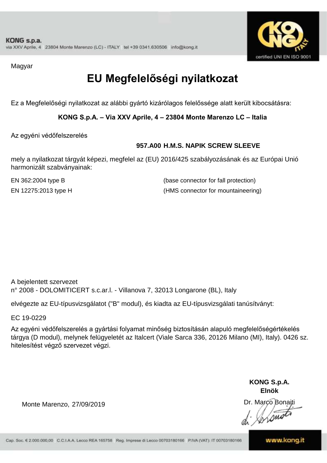

Magyar

# **EU Megfelelőségi nyilatkozat**

Ez a Megfelelőségi nyilatkozat az alábbi gyártó kizárólagos felelőssége alatt került kibocsátásra:

**KONG S.p.A. – Via XXV Aprile, 4 – 23804 Monte Marenzo LC – Italia**

Az egyéni védőfelszerelés

### **957.A00 H.M.S. NAPIK SCREW SLEEVE**

mely a nyilatkozat tárgyát képezi, megfelel az (EU) 2016/425 szabályozásának és az Európai Unió harmonizált szabványainak:

EN 12275:2013 type H (HMS connector for mountaineering) EN 362:2004 type B (base connector for fall protection)

A bejelentett szervezet n° 2008 - DOLOMITICERT s.c.ar.l. - Villanova 7, 32013 Longarone (BL), Italy

elvégezte az EU-típusvizsgálatot ("B" modul), és kiadta az EU-típusvizsgálati tanúsítványt:

EC 19-0229

Az egyéni védőfelszerelés a gyártási folyamat minőség biztosításán alapuló megfelelőségértékelés tárgya (D modul), melynek felügyeletét az Italcert (Viale Sarca 336, 20126 Milano (MI), Italy). 0426 sz. hitelesítést végző szervezet végzi.

> **KONG S.p.A. Elnök**

Dr. Marco Bonaiti  $\sqrt{2m}$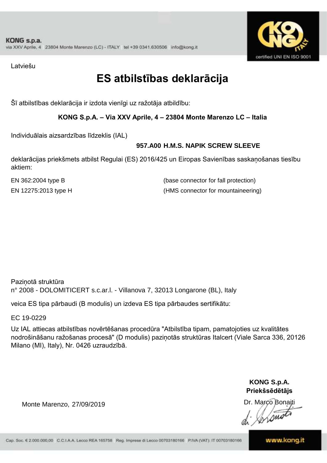

Latviešu

### **ES atbilstības deklarācija**

Šī atbilstības deklarācija ir izdota vienīgi uz ražotāja atbildību:

**KONG S.p.A. – Via XXV Aprile, 4 – 23804 Monte Marenzo LC – Italia**

Individuālais aizsardzības līdzeklis (IAL)

### **957.A00 H.M.S. NAPIK SCREW SLEEVE**

deklarācijas priekšmets atbilst Regulai (ES) 2016/425 un Eiropas Savienības saskaņošanas tiesību aktiem:

EN 362:2004 type B (base connector for fall protection) EN 12275:2013 type H (HMS connector for mountaineering)

Paziņotā struktūra n° 2008 - DOLOMITICERT s.c.ar.l. - Villanova 7, 32013 Longarone (BL), Italy

veica ES tipa pārbaudi (B modulis) un izdeva ES tipa pārbaudes sertifikātu:

EC 19-0229

Uz IAL attiecas atbilstības novērtēšanas procedūra "Atbilstība tipam, pamatojoties uz kvalitātes nodrošināšanu ražošanas procesā" (D modulis) paziņotās struktūras Italcert (Viale Sarca 336, 20126 Milano (MI), Italy), Nr. 0426 uzraudzībā.

> **KONG S.p.A. Priekšsēdētājs**

Dr. Marco Bonaiti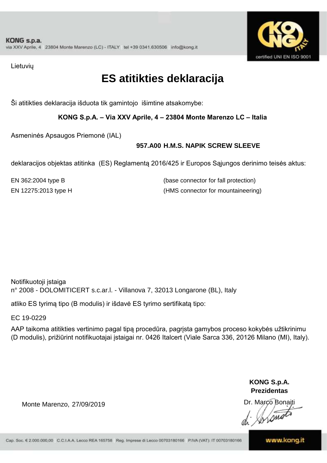

Lietuvių

# **ES atitikties deklaracija**

Ši atitikties deklaracija išduota tik gamintojo išimtine atsakomybe:

**KONG S.p.A. – Via XXV Aprile, 4 – 23804 Monte Marenzo LC – Italia**

Asmeninės Apsaugos Priemonė (IAL)

### **957.A00 H.M.S. NAPIK SCREW SLEEVE**

deklaracijos objektas atitinka (ES) Reglamentą 2016/425 ir Europos Sąjungos derinimo teisės aktus:

EN 12275:2013 type H (HMS connector for mountaineering) EN 362:2004 type B (base connector for fall protection)

Notifikuotoji įstaiga n° 2008 - DOLOMITICERT s.c.ar.l. - Villanova 7, 32013 Longarone (BL), Italy

atliko ES tyrimą tipo (B modulis) ir išdavė ES tyrimo sertifikatą tipo:

EC 19-0229

AAP taikoma atitikties vertinimo pagal tipą procedūra, pagrįsta gamybos proceso kokybės užtikrinimu (D modulis), prižiūrint notifikuotajai įstaigai nr. 0426 Italcert (Viale Sarca 336, 20126 Milano (MI), Italy).

> **KONG S.p.A. Prezidentas**

Dr. Marco Bonaiti

Monte Marenzo, 27/09/2019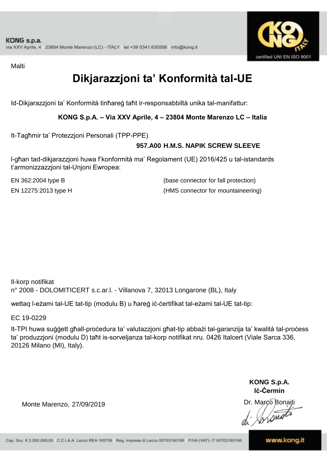

Malti

# **Dikjarazzjoni ta' Konformità tal-UE**

Id-Dikjarazzjoni ta' Konformità tinħareġ taħt ir-responsabbiltà unika tal-manifattur:

**KONG S.p.A. – Via XXV Aprile, 4 – 23804 Monte Marenzo LC – Italia**

It-Tagħmir ta' Protezzjoni Personali (TPP-PPE)

### **957.A00 H.M.S. NAPIK SCREW SLEEVE**

l-għan tad-dikjarazzjoni huwa f'konformità ma' Regolament (UE) 2016/425 u tal-istandards t'armonizzazzjoni tal-Unjoni Ewropea:

EN 362:2004 type B (base connector for fall protection) EN 12275:2013 type H (HMS connector for mountaineering)

Il-korp notifikat n° 2008 - DOLOMITICERT s.c.ar.l. - Villanova 7, 32013 Longarone (BL), Italy

wettaq l-eżami tal-UE tat-tip (modulu B) u ħareġ iċ-ċertifikat tal-eżami tal-UE tat-tip:

EC 19-0229

It-TPI huwa suġġett għall-proċedura ta' valutazzjoni għat-tip abbażi tal-garanzija ta' kwalità tal-proċess ta' produzzjoni (modulu D) taħt is-sorveljanza tal-korp notifikat nru. 0426 Italcert (Viale Sarca 336, 20126 Milano (MI), Italy).

> **KONG S.p.A. Iċ-Ċermin**

Dr. Marco Bonaiti

Monte Marenzo, 27/09/2019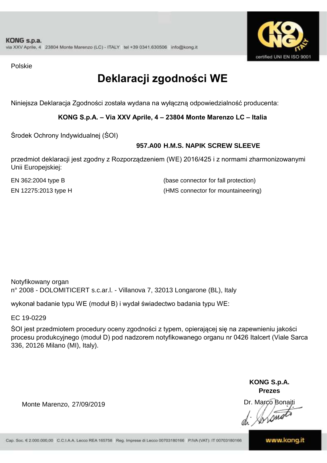

Polskie

# **Deklaracji zgodności WE**

Niniejsza Deklaracja Zgodności została wydana na wyłączną odpowiedzialność producenta:

**KONG S.p.A. – Via XXV Aprile, 4 – 23804 Monte Marenzo LC – Italia**

Środek Ochrony Indywidualnej (ŚOI)

### **957.A00 H.M.S. NAPIK SCREW SLEEVE**

przedmiot deklaracji jest zgodny z Rozporządzeniem (WE) 2016/425 i z normami zharmonizowanymi Unii Europejskiej:

EN 12275:2013 type H (HMS connector for mountaineering) EN 362:2004 type B (base connector for fall protection)

Notyfikowany organ n° 2008 - DOLOMITICERT s.c.ar.l. - Villanova 7, 32013 Longarone (BL), Italy

wykonał badanie typu WE (moduł B) i wydał świadectwo badania typu WE:

EC 19-0229

ŚOI jest przedmiotem procedury oceny zgodności z typem, opierającej się na zapewnieniu jakości procesu produkcyjnego (moduł D) pod nadzorem notyfikowanego organu nr 0426 Italcert (Viale Sarca 336, 20126 Milano (MI), Italy).

> **KONG S.p.A. Prezes**

Dr. Marco Bonaiti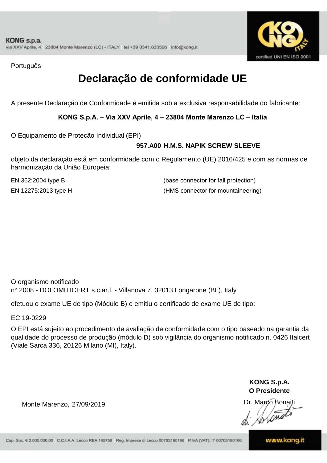

Português

# **Declaração de conformidade UE**

A presente Declaração de Conformidade é emitida sob a exclusiva responsabilidade do fabricante:

**KONG S.p.A. – Via XXV Aprile, 4 – 23804 Monte Marenzo LC – Italia**

O Equipamento de Proteção Individual (EPI)

### **957.A00 H.M.S. NAPIK SCREW SLEEVE**

objeto da declaração está em conformidade com o Regulamento (UE) 2016/425 e com as normas de harmonização da União Europeia:

EN 362:2004 type B (base connector for fall protection) EN 12275:2013 type H (HMS connector for mountaineering)

O organismo notificado n° 2008 - DOLOMITICERT s.c.ar.l. - Villanova 7, 32013 Longarone (BL), Italy

efetuou o exame UE de tipo (Módulo B) e emitiu o certificado de exame UE de tipo:

EC 19-0229

O EPI está sujeito ao procedimento de avaliação de conformidade com o tipo baseado na garantia da qualidade do processo de produção (módulo D) sob vigilância do organismo notificado n. 0426 Italcert (Viale Sarca 336, 20126 Milano (MI), Italy).

> **KONG S.p.A. O Presidente**

Dr. Marco Bonaiti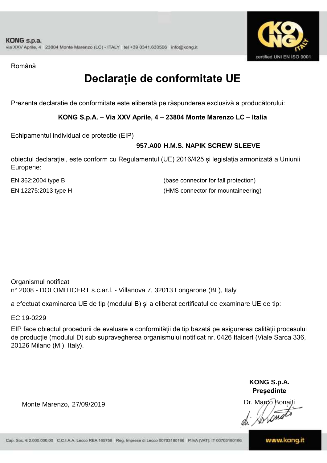

Română

# **Declarație de conformitate UE**

Prezenta declarație de conformitate este eliberată pe răspunderea exclusivă a producătorului:

**KONG S.p.A. – Via XXV Aprile, 4 – 23804 Monte Marenzo LC – Italia**

Echipamentul individual de protecție (EIP)

### **957.A00 H.M.S. NAPIK SCREW SLEEVE**

obiectul declarației, este conform cu Regulamentul (UE) 2016/425 și legislația armonizată a Uniunii Europene:

EN 12275:2013 type H (HMS connector for mountaineering) EN 362:2004 type B (base connector for fall protection)

Organismul notificat n° 2008 - DOLOMITICERT s.c.ar.l. - Villanova 7, 32013 Longarone (BL), Italy

a efectuat examinarea UE de tip (modulul B) și a eliberat certificatul de examinare UE de tip:

EC 19-0229

EIP face obiectul procedurii de evaluare a conformității de tip bazată pe asigurarea calității procesului de producție (modulul D) sub supravegherea organismului notificat nr. 0426 Italcert (Viale Sarca 336, 20126 Milano (MI), Italy).

> **KONG S.p.A. Președinte**

Dr. Marco Bonaiti Lone

Monte Marenzo, 27/09/2019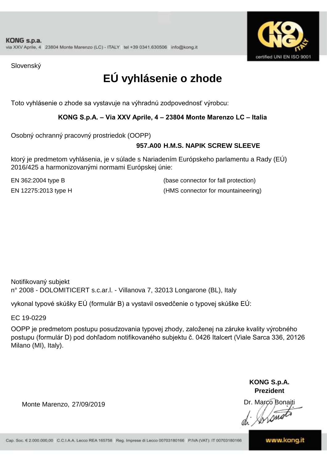

Slovenský

# **EÚ vyhlásenie o zhode**

Toto vyhlásenie o zhode sa vystavuje na výhradnú zodpovednosť výrobcu:

**KONG S.p.A. – Via XXV Aprile, 4 – 23804 Monte Marenzo LC – Italia**

Osobný ochranný pracovný prostriedok (OOPP)

### **957.A00 H.M.S. NAPIK SCREW SLEEVE**

ktorý je predmetom vyhlásenia, je v súlade s Nariadením Európskeho parlamentu a Rady (EÚ) 2016/425 a harmonizovanými normami Európskej únie:

EN 362:2004 type B (base connector for fall protection) EN 12275:2013 type H (HMS connector for mountaineering)

n° 2008 - DOLOMITICERT s.c.ar.l. - Villanova 7, 32013 Longarone (BL), Italy Notifikovaný subjekt

vykonal typové skúšky EÚ (formulár B) a vystavil osvedčenie o typovej skúške EÚ:

EC 19-0229

OOPP je predmetom postupu posudzovania typovej zhody, založenej na záruke kvality výrobného postupu (formulár D) pod dohľadom notifikovaného subjektu č. 0426 Italcert (Viale Sarca 336, 20126 Milano (MI), Italy).

> **KONG S.p.A. Prezident**

Dr. Marco Bonaiti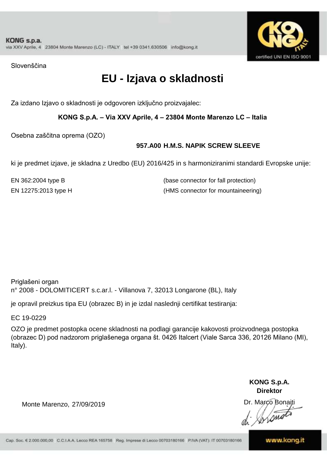

Slovenščina

# **EU - Izjava o skladnosti**

Za izdano Izjavo o skladnosti je odgovoren izključno proizvajalec:

**KONG S.p.A. – Via XXV Aprile, 4 – 23804 Monte Marenzo LC – Italia**

Osebna zaščitna oprema (OZO)

### **957.A00 H.M.S. NAPIK SCREW SLEEVE**

ki je predmet izjave, je skladna z Uredbo (EU) 2016/425 in s harmoniziranimi standardi Evropske unije:

EN 12275:2013 type H (HMS connector for mountaineering) EN 362:2004 type B (base connector for fall protection)

Priglašeni organ n° 2008 - DOLOMITICERT s.c.ar.l. - Villanova 7, 32013 Longarone (BL), Italy

je opravil preizkus tipa EU (obrazec B) in je izdal naslednji certifikat testiranja:

EC 19-0229

OZO je predmet postopka ocene skladnosti na podlagi garancije kakovosti proizvodnega postopka (obrazec D) pod nadzorom priglašenega organa št. 0426 Italcert (Viale Sarca 336, 20126 Milano (MI), Italy).

> **KONG S.p.A. Direktor**

Dr. Marco Bonaiti

Monte Marenzo, 27/09/2019